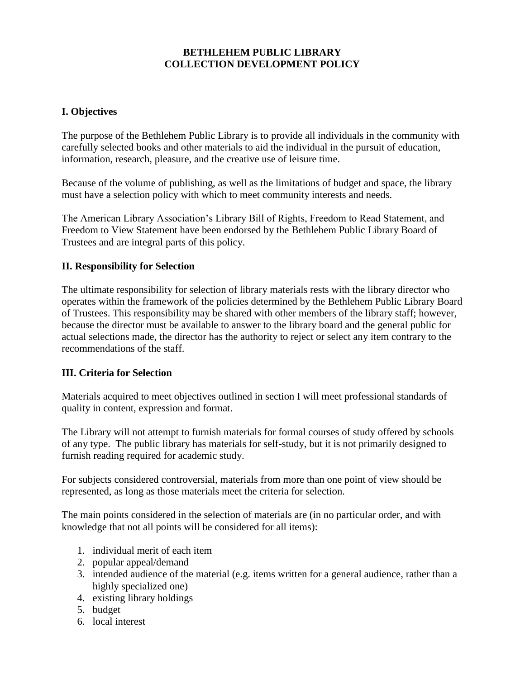## **BETHLEHEM PUBLIC LIBRARY COLLECTION DEVELOPMENT POLICY**

## **I. Objectives**

The purpose of the Bethlehem Public Library is to provide all individuals in the community with carefully selected books and other materials to aid the individual in the pursuit of education, information, research, pleasure, and the creative use of leisure time.

Because of the volume of publishing, as well as the limitations of budget and space, the library must have a selection policy with which to meet community interests and needs.

The American Library Association's Library Bill of Rights, Freedom to Read Statement, and Freedom to View Statement have been endorsed by the Bethlehem Public Library Board of Trustees and are integral parts of this policy.

## **II. Responsibility for Selection**

The ultimate responsibility for selection of library materials rests with the library director who operates within the framework of the policies determined by the Bethlehem Public Library Board of Trustees. This responsibility may be shared with other members of the library staff; however, because the director must be available to answer to the library board and the general public for actual selections made, the director has the authority to reject or select any item contrary to the recommendations of the staff.

## **III. Criteria for Selection**

Materials acquired to meet objectives outlined in section I will meet professional standards of quality in content, expression and format.

The Library will not attempt to furnish materials for formal courses of study offered by schools of any type. The public library has materials for self-study, but it is not primarily designed to furnish reading required for academic study.

For subjects considered controversial, materials from more than one point of view should be represented, as long as those materials meet the criteria for selection.

The main points considered in the selection of materials are (in no particular order, and with knowledge that not all points will be considered for all items):

- 1. individual merit of each item
- 2. popular appeal/demand
- 3. intended audience of the material (e.g. items written for a general audience, rather than a highly specialized one)
- 4. existing library holdings
- 5. budget
- 6. local interest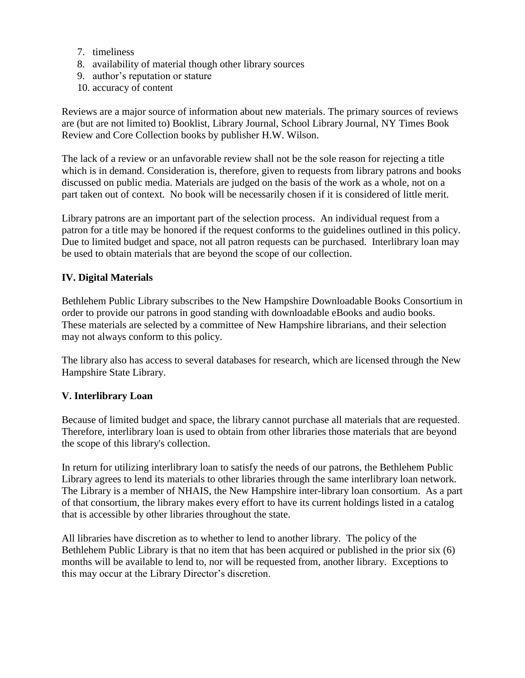- 7. timeliness
- 8. availability of material though other library sources
- 9. author's reputation or stature
- 10. accuracy of content

Reviews are a major source of information about new materials. The primary sources of reviews are (but are not limited to) Booklist, Library Journal, School Library Journal, NY Times Book Review and Core Collection books by publisher H.W. Wilson.

The lack of a review or an unfavorable review shall not be the sole reason for rejecting a title which is in demand. Consideration is, therefore, given to requests from library patrons and books discussed on public media. Materials are judged on the basis of the work as a whole, not on a part taken out of context. No book will be necessarily chosen if it is considered of little merit.

Library patrons are an important part of the selection process. An individual request from a patron for a title may be honored if the request conforms to the guidelines outlined in this policy. Due to limited budget and space, not all patron requests can be purchased. Interlibrary loan may be used to obtain materials that are beyond the scope of our collection.

# **IV. Digital Materials**

Bethlehem Public Library subscribes to the New Hampshire Downloadable Books Consortium in order to provide our patrons in good standing with downloadable eBooks and audio books. These materials are selected by a committee of New Hampshire librarians, and their selection may not always conform to this policy.

The library also has access to several databases for research, which are licensed through the New Hampshire State Library.

## **V. Interlibrary Loan**

Because of limited budget and space, the library cannot purchase all materials that are requested. Therefore, interlibrary loan is used to obtain from other libraries those materials that are beyond the scope of this library's collection.

In return for utilizing interlibrary loan to satisfy the needs of our patrons, the Bethlehem Public Library agrees to lend its materials to other libraries through the same interlibrary loan network. The Library is a member of NHAIS, the New Hampshire inter-library loan consortium. As a part of that consortium, the library makes every effort to have its current holdings listed in a catalog that is accessible by other libraries throughout the state.

All libraries have discretion as to whether to lend to another library. The policy of the Bethlehem Public Library is that no item that has been acquired or published in the prior six (6) months will be available to lend to, nor will be requested from, another library. Exceptions to this may occur at the Library Director's discretion.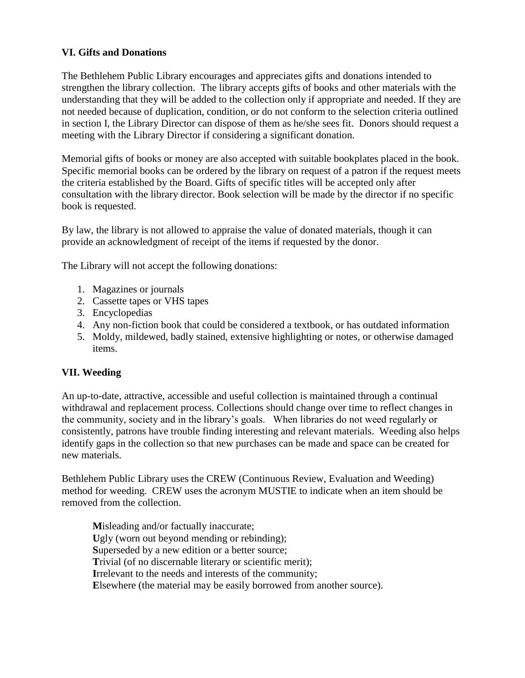## **VI. Gifts and Donations**

The Bethlehem Public Library encourages and appreciates gifts and donations intended to strengthen the library collection. The library accepts gifts of books and other materials with the understanding that they will be added to the collection only if appropriate and needed. If they are not needed because of duplication, condition, or do not conform to the selection criteria outlined in section I, the Library Director can dispose of them as he/she sees fit. Donors should request a meeting with the Library Director if considering a significant donation.

Memorial gifts of books or money are also accepted with suitable bookplates placed in the book. Specific memorial books can be ordered by the library on request of a patron if the request meets the criteria established by the Board. Gifts of specific titles will be accepted only after consultation with the library director. Book selection will be made by the director if no specific book is requested.

By law, the library is not allowed to appraise the value of donated materials, though it can provide an acknowledgment of receipt of the items if requested by the donor.

The Library will not accept the following donations:

- 1. Magazines or journals
- 2. Cassette tapes or VHS tapes
- 3. Encyclopedias
- 4. Any non-fiction book that could be considered a textbook, or has outdated information
- 5. Moldy, mildewed, badly stained, extensive highlighting or notes, or otherwise damaged items.

## **VII. Weeding**

An up-to-date, attractive, accessible and useful collection is maintained through a continual withdrawal and replacement process. Collections should change over time to reflect changes in the community, society and in the library's goals. When libraries do not weed regularly or consistently, patrons have trouble finding interesting and relevant materials. Weeding also helps identify gaps in the collection so that new purchases can be made and space can be created for new materials.

Bethlehem Public Library uses the CREW (Continuous Review, Evaluation and Weeding) method for weeding. CREW uses the acronym MUSTIE to indicate when an item should be removed from the collection.

**M**isleading and/or factually inaccurate; **U**gly (worn out beyond mending or rebinding); **S**uperseded by a new edition or a better source; **T**rivial (of no discernable literary or scientific merit); **I**rrelevant to the needs and interests of the community; **E**lsewhere (the material may be easily borrowed from another source).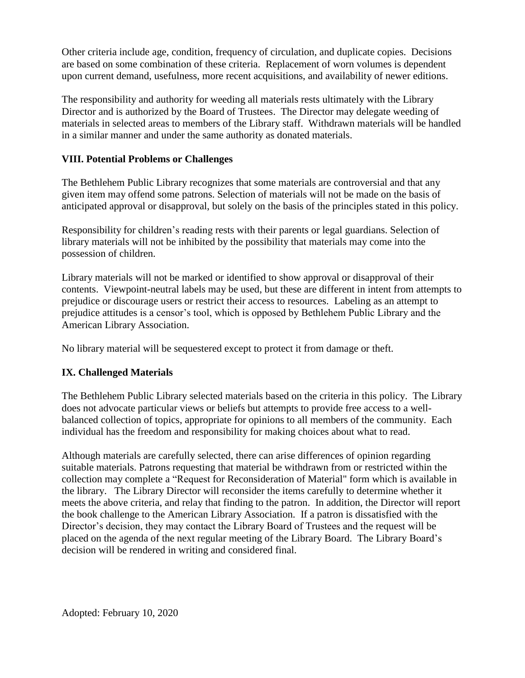Other criteria include age, condition, frequency of circulation, and duplicate copies. Decisions are based on some combination of these criteria. Replacement of worn volumes is dependent upon current demand, usefulness, more recent acquisitions, and availability of newer editions.

The responsibility and authority for weeding all materials rests ultimately with the Library Director and is authorized by the Board of Trustees. The Director may delegate weeding of materials in selected areas to members of the Library staff. Withdrawn materials will be handled in a similar manner and under the same authority as donated materials.

## **VIII. Potential Problems or Challenges**

The Bethlehem Public Library recognizes that some materials are controversial and that any given item may offend some patrons. Selection of materials will not be made on the basis of anticipated approval or disapproval, but solely on the basis of the principles stated in this policy.

Responsibility for children's reading rests with their parents or legal guardians. Selection of library materials will not be inhibited by the possibility that materials may come into the possession of children.

Library materials will not be marked or identified to show approval or disapproval of their contents. Viewpoint-neutral labels may be used, but these are different in intent from attempts to prejudice or discourage users or restrict their access to resources. Labeling as an attempt to prejudice attitudes is a censor's tool, which is opposed by Bethlehem Public Library and the American Library Association.

No library material will be sequestered except to protect it from damage or theft.

# **IX. Challenged Materials**

The Bethlehem Public Library selected materials based on the criteria in this policy. The Library does not advocate particular views or beliefs but attempts to provide free access to a wellbalanced collection of topics, appropriate for opinions to all members of the community. Each individual has the freedom and responsibility for making choices about what to read.

Although materials are carefully selected, there can arise differences of opinion regarding suitable materials. Patrons requesting that material be withdrawn from or restricted within the collection may complete a "Request for Reconsideration of Material" form which is available in the library. The Library Director will reconsider the items carefully to determine whether it meets the above criteria, and relay that finding to the patron. In addition, the Director will report the book challenge to the American Library Association. If a patron is dissatisfied with the Director's decision, they may contact the Library Board of Trustees and the request will be placed on the agenda of the next regular meeting of the Library Board. The Library Board's decision will be rendered in writing and considered final.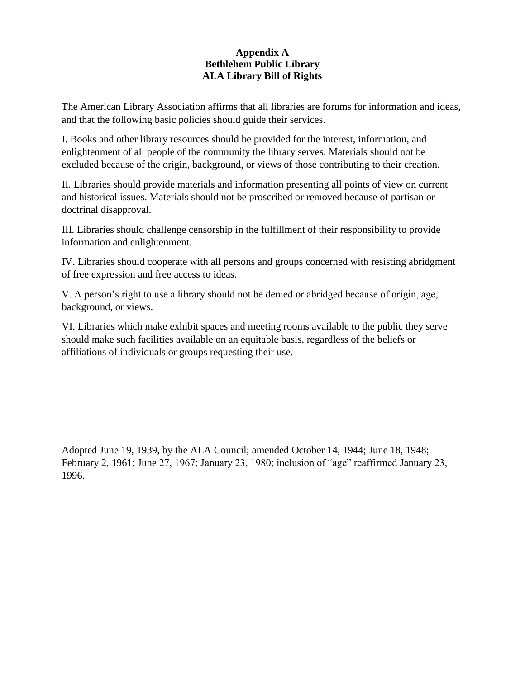## **Appendix A Bethlehem Public Library ALA Library Bill of Rights**

The American Library Association affirms that all libraries are forums for information and ideas, and that the following basic policies should guide their services.

I. Books and other library resources should be provided for the interest, information, and enlightenment of all people of the community the library serves. Materials should not be excluded because of the origin, background, or views of those contributing to their creation.

II. Libraries should provide materials and information presenting all points of view on current and historical issues. Materials should not be proscribed or removed because of partisan or doctrinal disapproval.

III. Libraries should challenge censorship in the fulfillment of their responsibility to provide information and enlightenment.

IV. Libraries should cooperate with all persons and groups concerned with resisting abridgment of free expression and free access to ideas.

V. A person's right to use a library should not be denied or abridged because of origin, age, background, or views.

VI. Libraries which make exhibit spaces and meeting rooms available to the public they serve should make such facilities available on an equitable basis, regardless of the beliefs or affiliations of individuals or groups requesting their use.

Adopted June 19, 1939, by the ALA Council; amended October 14, 1944; June 18, 1948; February 2, 1961; June 27, 1967; January 23, 1980; inclusion of "age" reaffirmed January 23, 1996.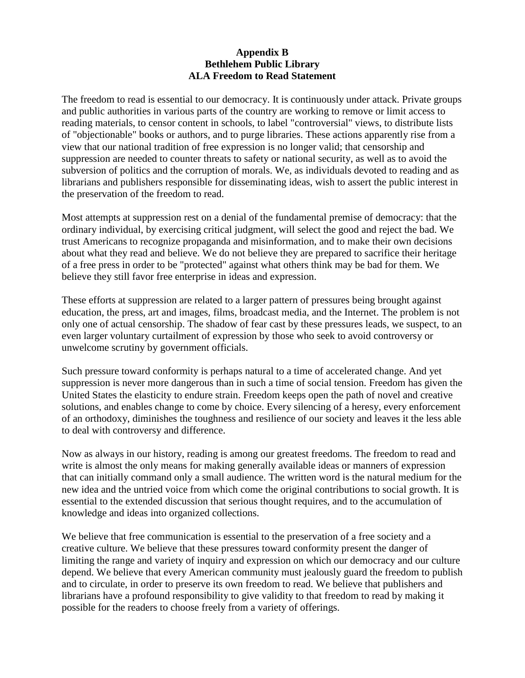### **Appendix B Bethlehem Public Library ALA Freedom to Read Statement**

The freedom to read is essential to our democracy. It is continuously under attack. Private groups and public authorities in various parts of the country are working to remove or limit access to reading materials, to censor content in schools, to label "controversial" views, to distribute lists of "objectionable" books or authors, and to purge libraries. These actions apparently rise from a view that our national tradition of free expression is no longer valid; that censorship and suppression are needed to counter threats to safety or national security, as well as to avoid the subversion of politics and the corruption of morals. We, as individuals devoted to reading and as librarians and publishers responsible for disseminating ideas, wish to assert the public interest in the preservation of the freedom to read.

Most attempts at suppression rest on a denial of the fundamental premise of democracy: that the ordinary individual, by exercising critical judgment, will select the good and reject the bad. We trust Americans to recognize propaganda and misinformation, and to make their own decisions about what they read and believe. We do not believe they are prepared to sacrifice their heritage of a free press in order to be "protected" against what others think may be bad for them. We believe they still favor free enterprise in ideas and expression.

These efforts at suppression are related to a larger pattern of pressures being brought against education, the press, art and images, films, broadcast media, and the Internet. The problem is not only one of actual censorship. The shadow of fear cast by these pressures leads, we suspect, to an even larger voluntary curtailment of expression by those who seek to avoid controversy or unwelcome scrutiny by government officials.

Such pressure toward conformity is perhaps natural to a time of accelerated change. And yet suppression is never more dangerous than in such a time of social tension. Freedom has given the United States the elasticity to endure strain. Freedom keeps open the path of novel and creative solutions, and enables change to come by choice. Every silencing of a heresy, every enforcement of an orthodoxy, diminishes the toughness and resilience of our society and leaves it the less able to deal with controversy and difference.

Now as always in our history, reading is among our greatest freedoms. The freedom to read and write is almost the only means for making generally available ideas or manners of expression that can initially command only a small audience. The written word is the natural medium for the new idea and the untried voice from which come the original contributions to social growth. It is essential to the extended discussion that serious thought requires, and to the accumulation of knowledge and ideas into organized collections.

We believe that free communication is essential to the preservation of a free society and a creative culture. We believe that these pressures toward conformity present the danger of limiting the range and variety of inquiry and expression on which our democracy and our culture depend. We believe that every American community must jealously guard the freedom to publish and to circulate, in order to preserve its own freedom to read. We believe that publishers and librarians have a profound responsibility to give validity to that freedom to read by making it possible for the readers to choose freely from a variety of offerings.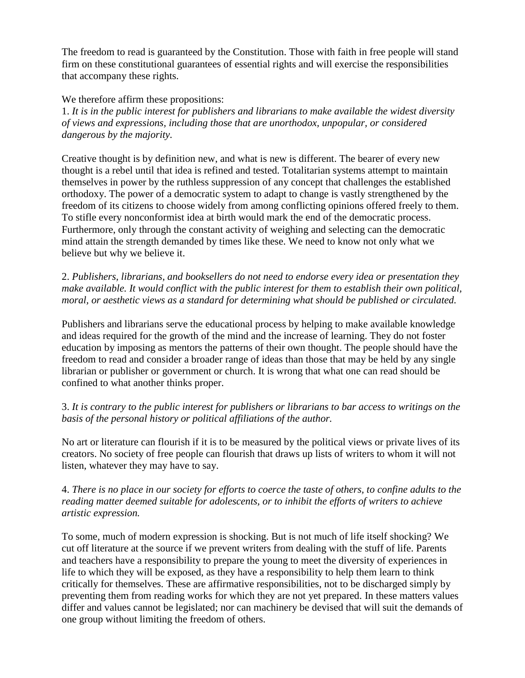The freedom to read is guaranteed by the Constitution. Those with faith in free people will stand firm on these constitutional guarantees of essential rights and will exercise the responsibilities that accompany these rights.

### We therefore affirm these propositions:

1. *It is in the public interest for publishers and librarians to make available the widest diversity of views and expressions, including those that are unorthodox, unpopular, or considered dangerous by the majority.* 

Creative thought is by definition new, and what is new is different. The bearer of every new thought is a rebel until that idea is refined and tested. Totalitarian systems attempt to maintain themselves in power by the ruthless suppression of any concept that challenges the established orthodoxy. The power of a democratic system to adapt to change is vastly strengthened by the freedom of its citizens to choose widely from among conflicting opinions offered freely to them. To stifle every nonconformist idea at birth would mark the end of the democratic process. Furthermore, only through the constant activity of weighing and selecting can the democratic mind attain the strength demanded by times like these. We need to know not only what we believe but why we believe it.

2. *Publishers, librarians, and booksellers do not need to endorse every idea or presentation they make available. It would conflict with the public interest for them to establish their own political, moral, or aesthetic views as a standard for determining what should be published or circulated.* 

Publishers and librarians serve the educational process by helping to make available knowledge and ideas required for the growth of the mind and the increase of learning. They do not foster education by imposing as mentors the patterns of their own thought. The people should have the freedom to read and consider a broader range of ideas than those that may be held by any single librarian or publisher or government or church. It is wrong that what one can read should be confined to what another thinks proper.

## 3. *It is contrary to the public interest for publishers or librarians to bar access to writings on the basis of the personal history or political affiliations of the author.*

No art or literature can flourish if it is to be measured by the political views or private lives of its creators. No society of free people can flourish that draws up lists of writers to whom it will not listen, whatever they may have to say.

## 4. *There is no place in our society for efforts to coerce the taste of others, to confine adults to the reading matter deemed suitable for adolescents, or to inhibit the efforts of writers to achieve artistic expression.*

To some, much of modern expression is shocking. But is not much of life itself shocking? We cut off literature at the source if we prevent writers from dealing with the stuff of life. Parents and teachers have a responsibility to prepare the young to meet the diversity of experiences in life to which they will be exposed, as they have a responsibility to help them learn to think critically for themselves. These are affirmative responsibilities, not to be discharged simply by preventing them from reading works for which they are not yet prepared. In these matters values differ and values cannot be legislated; nor can machinery be devised that will suit the demands of one group without limiting the freedom of others.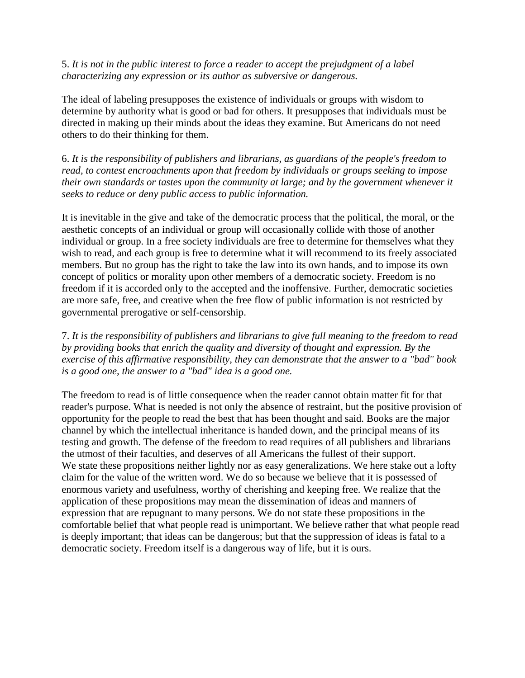### 5. *It is not in the public interest to force a reader to accept the prejudgment of a label characterizing any expression or its author as subversive or dangerous.*

The ideal of labeling presupposes the existence of individuals or groups with wisdom to determine by authority what is good or bad for others. It presupposes that individuals must be directed in making up their minds about the ideas they examine. But Americans do not need others to do their thinking for them.

6. *It is the responsibility of publishers and librarians, as guardians of the people's freedom to read, to contest encroachments upon that freedom by individuals or groups seeking to impose their own standards or tastes upon the community at large; and by the government whenever it seeks to reduce or deny public access to public information.* 

It is inevitable in the give and take of the democratic process that the political, the moral, or the aesthetic concepts of an individual or group will occasionally collide with those of another individual or group. In a free society individuals are free to determine for themselves what they wish to read, and each group is free to determine what it will recommend to its freely associated members. But no group has the right to take the law into its own hands, and to impose its own concept of politics or morality upon other members of a democratic society. Freedom is no freedom if it is accorded only to the accepted and the inoffensive. Further, democratic societies are more safe, free, and creative when the free flow of public information is not restricted by governmental prerogative or self-censorship.

7. *It is the responsibility of publishers and librarians to give full meaning to the freedom to read by providing books that enrich the quality and diversity of thought and expression. By the exercise of this affirmative responsibility, they can demonstrate that the answer to a "bad" book is a good one, the answer to a "bad" idea is a good one.* 

The freedom to read is of little consequence when the reader cannot obtain matter fit for that reader's purpose. What is needed is not only the absence of restraint, but the positive provision of opportunity for the people to read the best that has been thought and said. Books are the major channel by which the intellectual inheritance is handed down, and the principal means of its testing and growth. The defense of the freedom to read requires of all publishers and librarians the utmost of their faculties, and deserves of all Americans the fullest of their support. We state these propositions neither lightly nor as easy generalizations. We here stake out a lofty claim for the value of the written word. We do so because we believe that it is possessed of enormous variety and usefulness, worthy of cherishing and keeping free. We realize that the application of these propositions may mean the dissemination of ideas and manners of expression that are repugnant to many persons. We do not state these propositions in the comfortable belief that what people read is unimportant. We believe rather that what people read is deeply important; that ideas can be dangerous; but that the suppression of ideas is fatal to a democratic society. Freedom itself is a dangerous way of life, but it is ours.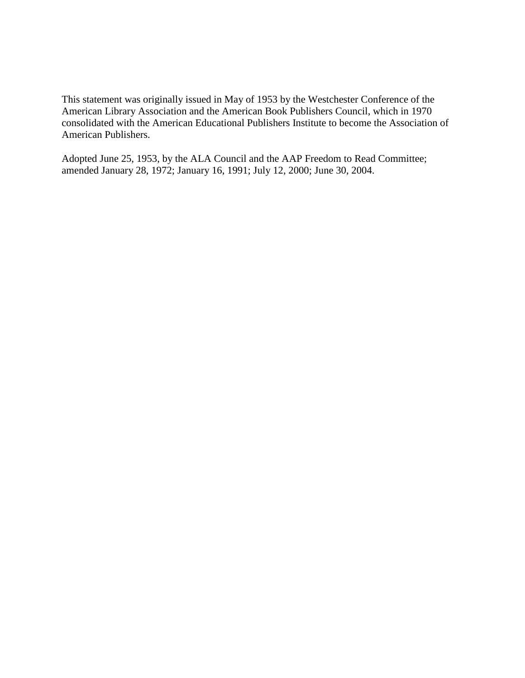This statement was originally issued in May of 1953 by the Westchester Conference of the American Library Association and the American Book Publishers Council, which in 1970 consolidated with the American Educational Publishers Institute to become the Association of American Publishers.

Adopted June 25, 1953, by the ALA Council and the AAP Freedom to Read Committee; amended January 28, 1972; January 16, 1991; July 12, 2000; June 30, 2004.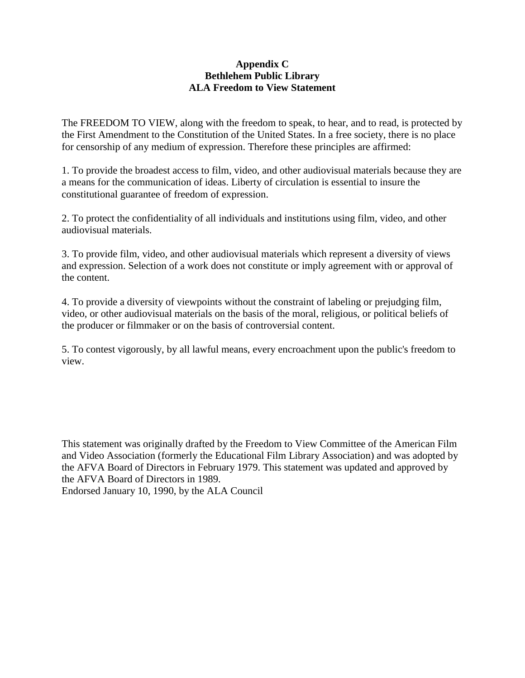### **Appendix C Bethlehem Public Library ALA Freedom to View Statement**

The FREEDOM TO VIEW, along with the freedom to speak, to hear, and to read, is protected by the First Amendment to the Constitution of the United States. In a free society, there is no place for censorship of any medium of expression. Therefore these principles are affirmed:

1. To provide the broadest access to film, video, and other audiovisual materials because they are a means for the communication of ideas. Liberty of circulation is essential to insure the constitutional guarantee of freedom of expression.

2. To protect the confidentiality of all individuals and institutions using film, video, and other audiovisual materials.

3. To provide film, video, and other audiovisual materials which represent a diversity of views and expression. Selection of a work does not constitute or imply agreement with or approval of the content.

4. To provide a diversity of viewpoints without the constraint of labeling or prejudging film, video, or other audiovisual materials on the basis of the moral, religious, or political beliefs of the producer or filmmaker or on the basis of controversial content.

5. To contest vigorously, by all lawful means, every encroachment upon the public's freedom to view.

This statement was originally drafted by the Freedom to View Committee of the American Film and Video Association (formerly the Educational Film Library Association) and was adopted by the AFVA Board of Directors in February 1979. This statement was updated and approved by the AFVA Board of Directors in 1989.

Endorsed January 10, 1990, by the ALA Council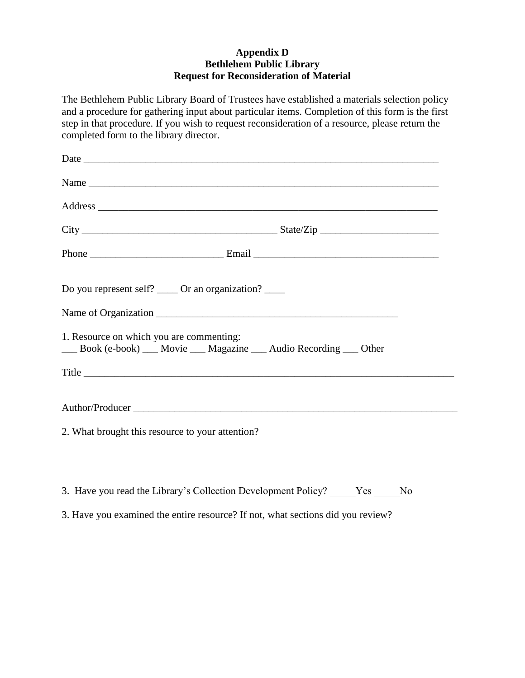#### **Appendix D Bethlehem Public Library Request for Reconsideration of Material**

The Bethlehem Public Library Board of Trustees have established a materials selection policy and a procedure for gathering input about particular items. Completion of this form is the first step in that procedure. If you wish to request reconsideration of a resource, please return the completed form to the library director.

| Do you represent self? _____ Or an organization? ____                                                         |  |
|---------------------------------------------------------------------------------------------------------------|--|
|                                                                                                               |  |
| 1. Resource on which you are commenting:<br>__ Book (e-book) __ Movie __ Magazine __ Audio Recording __ Other |  |
| Title                                                                                                         |  |
| Author/Producer                                                                                               |  |
| 2. What brought this resource to your attention?                                                              |  |
|                                                                                                               |  |

- 3. Have you read the Library's Collection Development Policy? Yes No
- 3. Have you examined the entire resource? If not, what sections did you review?